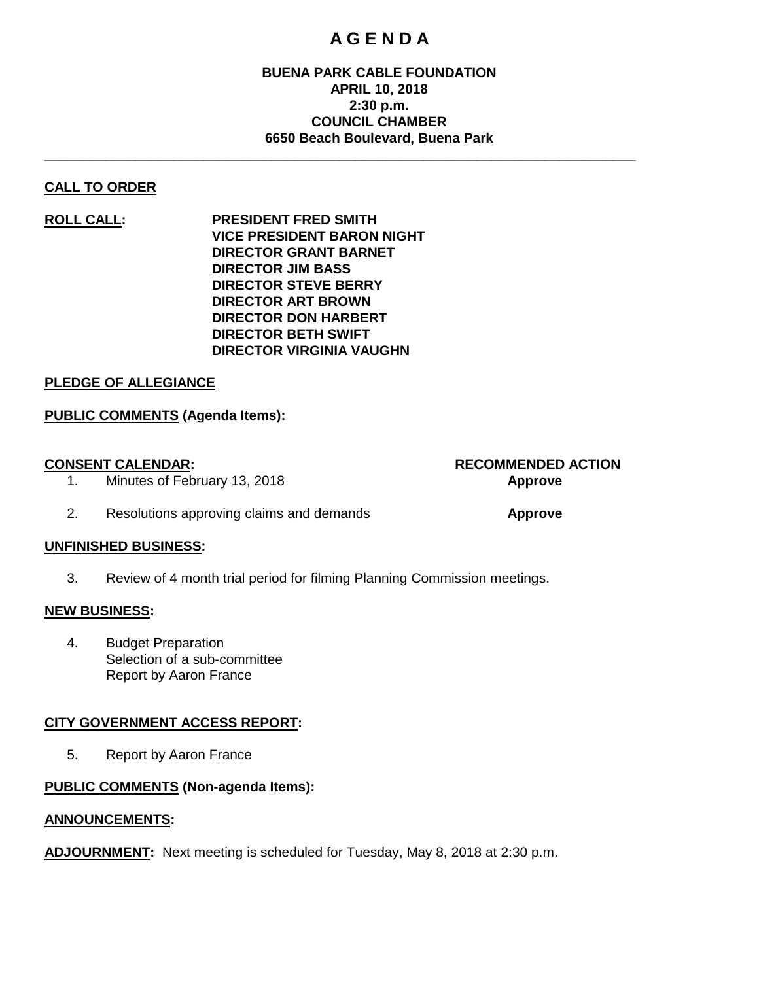# **A G E N D A**

# **BUENA PARK CABLE FOUNDATION APRIL 10, 2018 2:30 p.m. COUNCIL CHAMBER 6650 Beach Boulevard, Buena Park**

**\_\_\_\_\_\_\_\_\_\_\_\_\_\_\_\_\_\_\_\_\_\_\_\_\_\_\_\_\_\_\_\_\_\_\_\_\_\_\_\_\_\_\_\_\_\_\_\_\_\_\_\_\_\_\_\_\_\_\_\_\_\_\_\_\_\_\_\_\_\_\_\_\_\_\_\_\_\_**

# **CALL TO ORDER**

**ROLL CALL: PRESIDENT FRED SMITH VICE PRESIDENT BARON NIGHT DIRECTOR GRANT BARNET DIRECTOR JIM BASS DIRECTOR STEVE BERRY DIRECTOR ART BROWN DIRECTOR DON HARBERT DIRECTOR BETH SWIFT DIRECTOR VIRGINIA VAUGHN**

#### **PLEDGE OF ALLEGIANCE**

# **PUBLIC COMMENTS (Agenda Items):**

# **CONSENT CALENDAR: RECOMMENDED ACTION**

1. Minutes of February 13, 2018 **Approve**

#### 2. Resolutions approving claims and demands **Approve**

# **UNFINISHED BUSINESS:**

3. Review of 4 month trial period for filming Planning Commission meetings.

#### **NEW BUSINESS:**

4. Budget Preparation Selection of a sub-committee Report by Aaron France

# **CITY GOVERNMENT ACCESS REPORT:**

5. Report by Aaron France

# **PUBLIC COMMENTS (Non-agenda Items):**

# **ANNOUNCEMENTS:**

**ADJOURNMENT:** Next meeting is scheduled for Tuesday, May 8, 2018 at 2:30 p.m.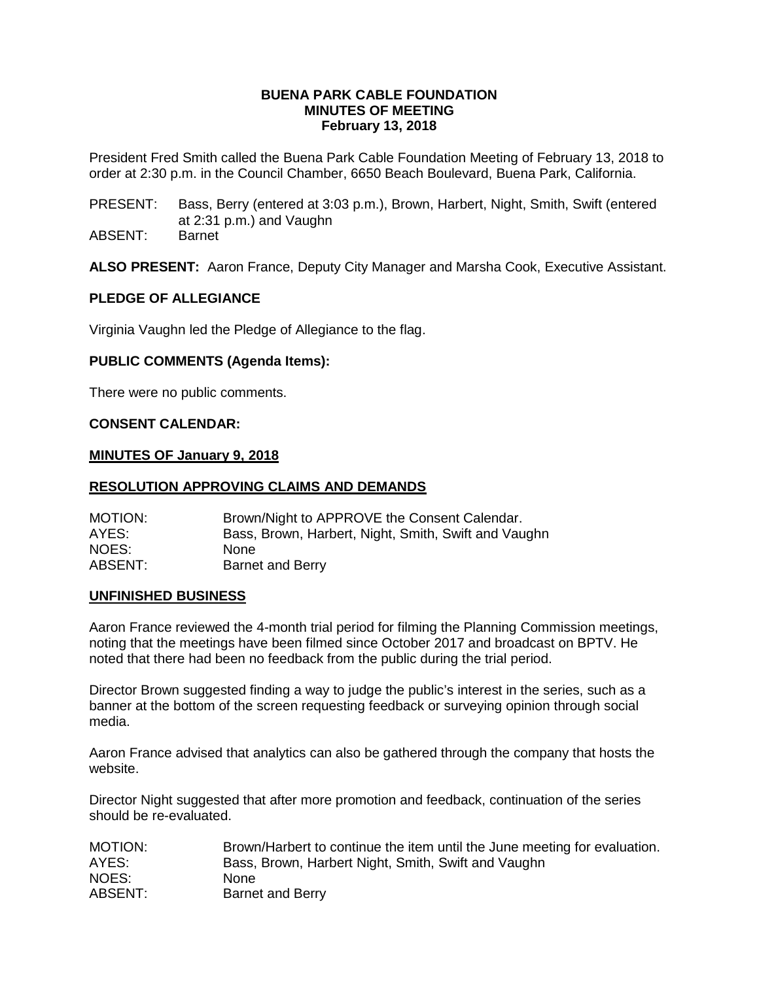#### **BUENA PARK CABLE FOUNDATION MINUTES OF MEETING February 13, 2018**

President Fred Smith called the Buena Park Cable Foundation Meeting of February 13, 2018 to order at 2:30 p.m. in the Council Chamber, 6650 Beach Boulevard, Buena Park, California.

- PRESENT: Bass, Berry (entered at 3:03 p.m.), Brown, Harbert, Night, Smith, Swift (entered at 2:31 p.m.) and Vaughn
- ABSENT: Barnet

**ALSO PRESENT:** Aaron France, Deputy City Manager and Marsha Cook, Executive Assistant.

#### **PLEDGE OF ALLEGIANCE**

Virginia Vaughn led the Pledge of Allegiance to the flag.

# **PUBLIC COMMENTS (Agenda Items):**

There were no public comments.

#### **CONSENT CALENDAR:**

#### **MINUTES OF January 9, 2018**

#### **RESOLUTION APPROVING CLAIMS AND DEMANDS**

| MOTION: | Brown/Night to APPROVE the Consent Calendar.         |
|---------|------------------------------------------------------|
| AYES:   | Bass, Brown, Harbert, Night, Smith, Swift and Vaughn |
| NOES:   | <b>None</b>                                          |
| ABSENT: | <b>Barnet and Berry</b>                              |

#### **UNFINISHED BUSINESS**

Aaron France reviewed the 4-month trial period for filming the Planning Commission meetings, noting that the meetings have been filmed since October 2017 and broadcast on BPTV. He noted that there had been no feedback from the public during the trial period.

Director Brown suggested finding a way to judge the public's interest in the series, such as a banner at the bottom of the screen requesting feedback or surveying opinion through social media.

Aaron France advised that analytics can also be gathered through the company that hosts the website.

Director Night suggested that after more promotion and feedback, continuation of the series should be re-evaluated.

| MOTION: | Brown/Harbert to continue the item until the June meeting for evaluation. |
|---------|---------------------------------------------------------------------------|
| AYES:   | Bass, Brown, Harbert Night, Smith, Swift and Vaughn                       |
| NOES:   | <b>None</b>                                                               |
| ABSENT: | Barnet and Berry                                                          |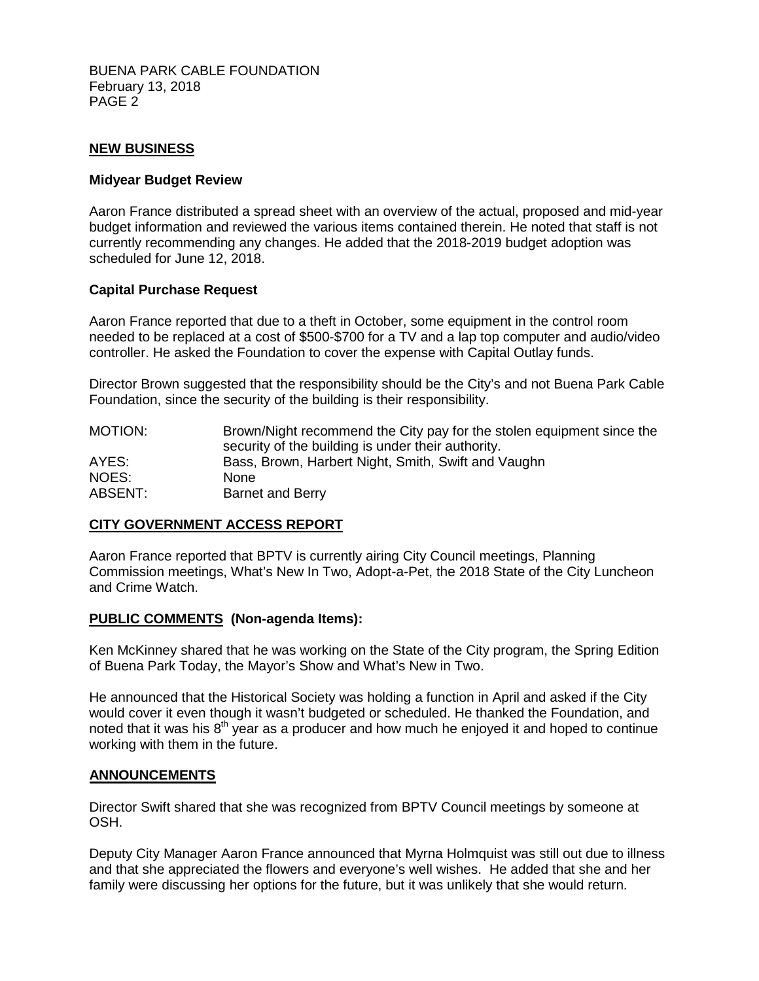BUENA PARK CABLE FOUNDATION February 13, 2018 PAGE 2

# **NEW BUSINESS**

#### **Midyear Budget Review**

Aaron France distributed a spread sheet with an overview of the actual, proposed and mid-year budget information and reviewed the various items contained therein. He noted that staff is not currently recommending any changes. He added that the 2018-2019 budget adoption was scheduled for June 12, 2018.

#### **Capital Purchase Request**

Aaron France reported that due to a theft in October, some equipment in the control room needed to be replaced at a cost of \$500-\$700 for a TV and a lap top computer and audio/video controller. He asked the Foundation to cover the expense with Capital Outlay funds.

Director Brown suggested that the responsibility should be the City's and not Buena Park Cable Foundation, since the security of the building is their responsibility.

| MOTION: | Brown/Night recommend the City pay for the stolen equipment since the |
|---------|-----------------------------------------------------------------------|
|         | security of the building is under their authority.                    |
| AYES:   | Bass, Brown, Harbert Night, Smith, Swift and Vaughn                   |
| NOES:   | <b>None</b>                                                           |
| ABSENT: | Barnet and Berry                                                      |

#### **CITY GOVERNMENT ACCESS REPORT**

Aaron France reported that BPTV is currently airing City Council meetings, Planning Commission meetings, What's New In Two, Adopt-a-Pet, the 2018 State of the City Luncheon and Crime Watch.

#### **PUBLIC COMMENTS (Non-agenda Items):**

Ken McKinney shared that he was working on the State of the City program, the Spring Edition of Buena Park Today, the Mayor's Show and What's New in Two.

He announced that the Historical Society was holding a function in April and asked if the City would cover it even though it wasn't budgeted or scheduled. He thanked the Foundation, and noted that it was his  $8<sup>th</sup>$  year as a producer and how much he enjoyed it and hoped to continue working with them in the future.

#### **ANNOUNCEMENTS**

Director Swift shared that she was recognized from BPTV Council meetings by someone at OSH.

Deputy City Manager Aaron France announced that Myrna Holmquist was still out due to illness and that she appreciated the flowers and everyone's well wishes. He added that she and her family were discussing her options for the future, but it was unlikely that she would return.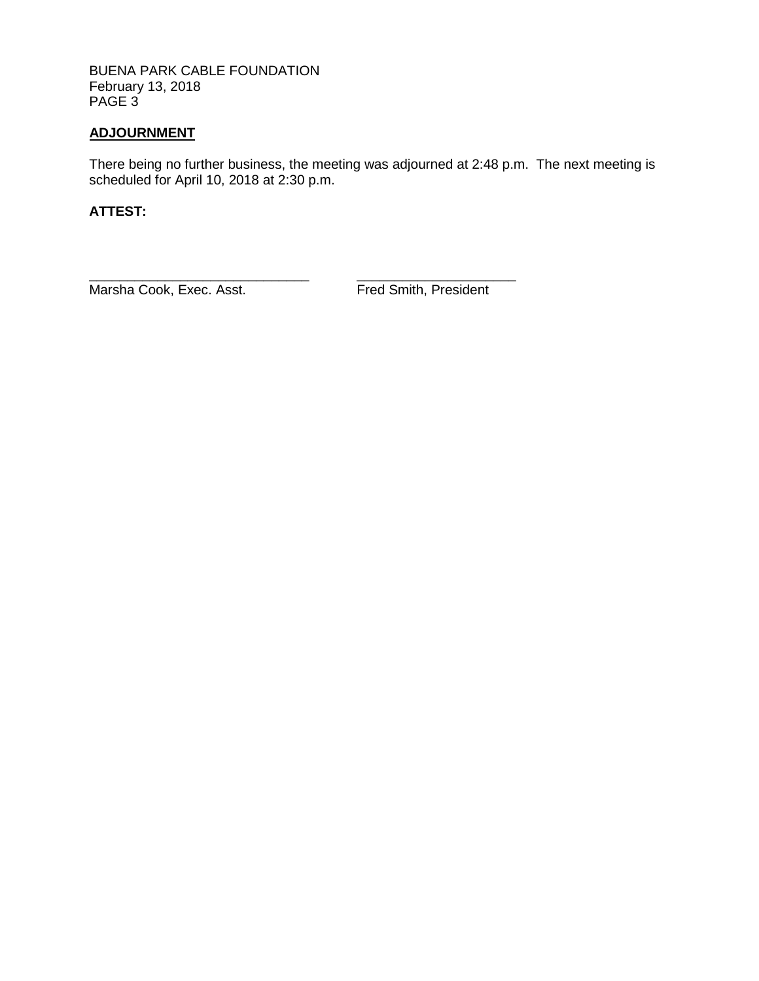BUENA PARK CABLE FOUNDATION February 13, 2018 PAGE 3

# **ADJOURNMENT**

There being no further business, the meeting was adjourned at 2:48 p.m. The next meeting is scheduled for April 10, 2018 at 2:30 p.m.

# **ATTEST:**

\_\_\_\_\_\_\_\_\_\_\_\_\_\_\_\_\_\_\_\_\_\_\_\_\_\_\_\_\_ \_\_\_\_\_\_\_\_\_\_\_\_\_\_\_\_\_\_\_\_\_ Marsha Cook, Exec. Asst. Fred Smith, President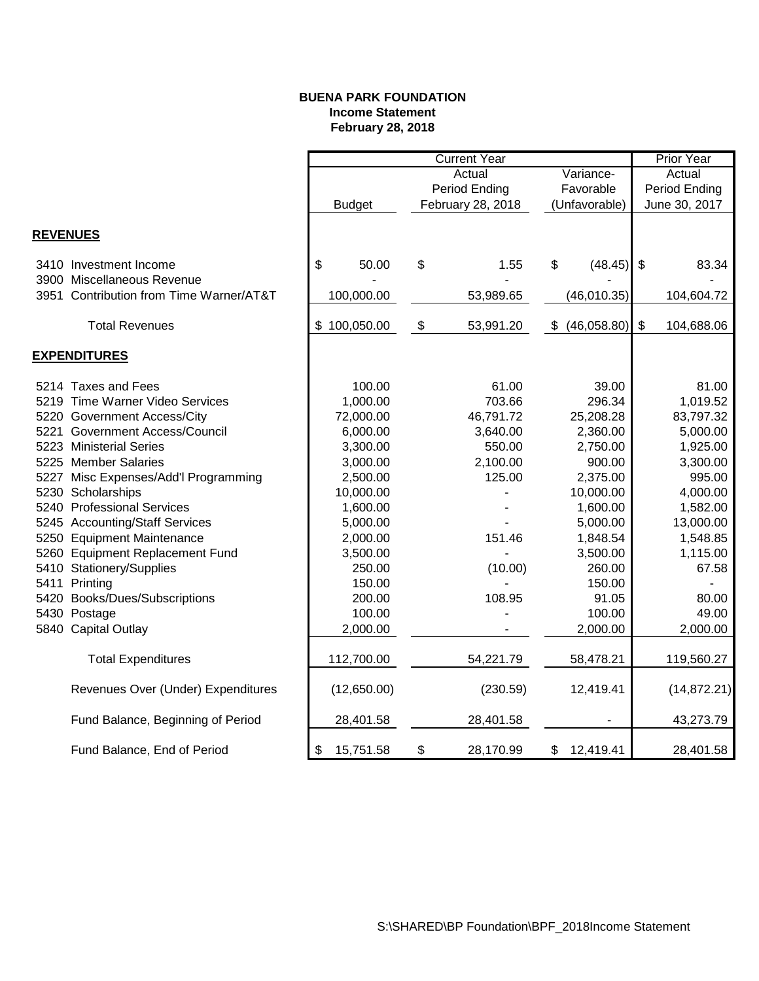### **BUENA PARK FOUNDATION Income Statement February 28, 2018**

|                                         |    | <b>Current Year</b> |               |                   |                           |               | Prior Year     |               |  |
|-----------------------------------------|----|---------------------|---------------|-------------------|---------------------------|---------------|----------------|---------------|--|
|                                         |    | Actual<br>Variance- |               |                   | Actual                    |               |                |               |  |
|                                         |    |                     | Period Ending |                   | Favorable                 |               | Period Ending  |               |  |
|                                         |    | <b>Budget</b>       |               | February 28, 2018 |                           | (Unfavorable) |                | June 30, 2017 |  |
|                                         |    |                     |               |                   |                           |               |                |               |  |
| <b>REVENUES</b>                         |    |                     |               |                   |                           |               |                |               |  |
| 3410 Investment Income                  | \$ | 50.00               | \$            | 1.55              | \$                        | (48.45)       | \$             | 83.34         |  |
| 3900 Miscellaneous Revenue              |    |                     |               |                   |                           |               |                |               |  |
| 3951 Contribution from Time Warner/AT&T |    | 100,000.00          |               | 53,989.65         |                           | (46,010.35)   |                | 104,604.72    |  |
| <b>Total Revenues</b>                   |    | \$100,050.00        | \$            | 53,991.20         | $\boldsymbol{\mathsf{S}}$ | (46,058.80)   | $\mathfrak{S}$ | 104,688.06    |  |
| <b>EXPENDITURES</b>                     |    |                     |               |                   |                           |               |                |               |  |
|                                         |    |                     |               |                   |                           |               |                |               |  |
| 5214 Taxes and Fees                     |    | 100.00              |               | 61.00             |                           | 39.00         |                | 81.00         |  |
| 5219 Time Warner Video Services         |    | 1,000.00            |               | 703.66            |                           | 296.34        |                | 1,019.52      |  |
| 5220 Government Access/City             |    | 72,000.00           |               | 46,791.72         |                           | 25,208.28     |                | 83,797.32     |  |
| 5221 Government Access/Council          |    | 6,000.00            |               | 3,640.00          |                           | 2,360.00      |                | 5,000.00      |  |
| 5223 Ministerial Series                 |    | 3,300.00            |               | 550.00            |                           | 2,750.00      |                | 1,925.00      |  |
| 5225 Member Salaries                    |    | 3,000.00            |               | 2,100.00          |                           | 900.00        |                | 3,300.00      |  |
| 5227 Misc Expenses/Add'l Programming    |    | 2,500.00            |               | 125.00            |                           | 2,375.00      |                | 995.00        |  |
| 5230 Scholarships                       |    | 10,000.00           |               |                   |                           | 10,000.00     |                | 4,000.00      |  |
| 5240 Professional Services              |    | 1,600.00            |               |                   |                           | 1,600.00      |                | 1,582.00      |  |
| 5245 Accounting/Staff Services          |    | 5,000.00            |               |                   |                           | 5,000.00      |                | 13,000.00     |  |
| 5250 Equipment Maintenance              |    | 2,000.00            |               | 151.46            |                           | 1,848.54      |                | 1,548.85      |  |
| 5260 Equipment Replacement Fund         |    | 3,500.00            |               |                   |                           | 3,500.00      |                | 1,115.00      |  |
| 5410 Stationery/Supplies                |    | 250.00              |               | (10.00)           |                           | 260.00        |                | 67.58         |  |
| 5411 Printing                           |    | 150.00              |               |                   |                           | 150.00        |                |               |  |
| 5420 Books/Dues/Subscriptions           |    | 200.00              |               | 108.95            |                           | 91.05         |                | 80.00         |  |
| 5430 Postage                            |    | 100.00              |               |                   |                           | 100.00        |                | 49.00         |  |
| 5840 Capital Outlay                     |    | 2,000.00            |               |                   |                           | 2,000.00      |                | 2,000.00      |  |
| <b>Total Expenditures</b>               |    | 112,700.00          |               | 54,221.79         |                           | 58,478.21     |                | 119,560.27    |  |
| Revenues Over (Under) Expenditures      |    | (12,650.00)         |               | (230.59)          |                           | 12,419.41     |                | (14, 872.21)  |  |
| Fund Balance, Beginning of Period       |    | 28,401.58           |               | 28,401.58         |                           |               |                | 43,273.79     |  |
| Fund Balance, End of Period             | \$ | 15,751.58           | \$            | 28,170.99         | \$                        | 12,419.41     |                | 28,401.58     |  |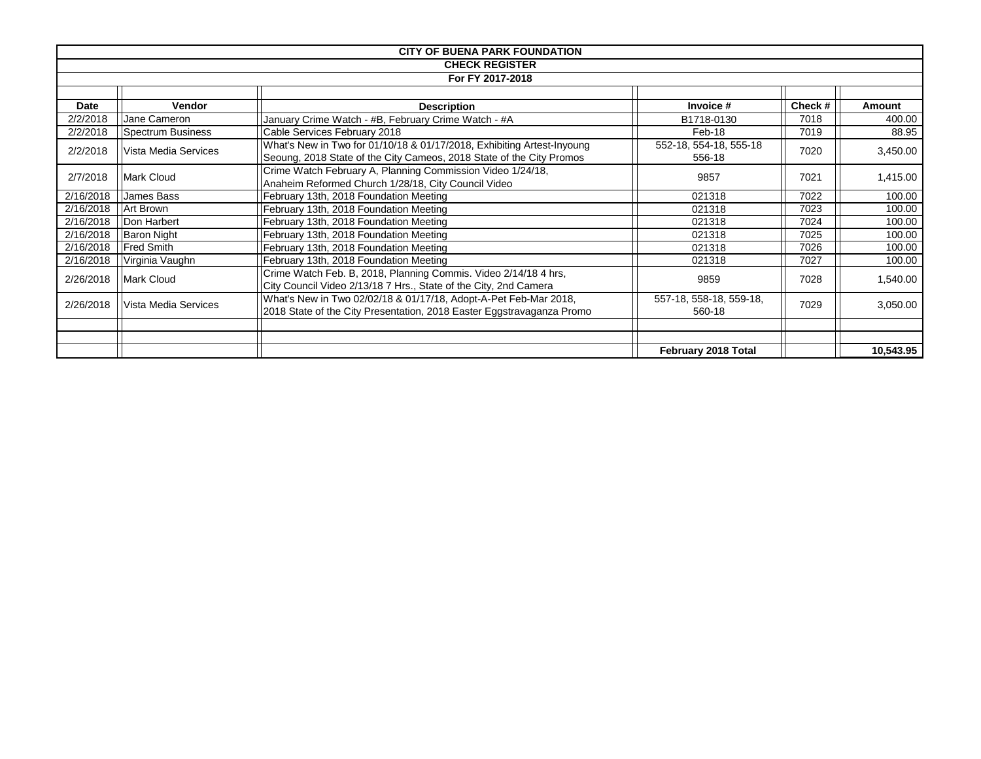| <b>CITY OF BUENA PARK FOUNDATION</b> |                      |                                                                                                                                                |                                  |        |               |  |  |  |
|--------------------------------------|----------------------|------------------------------------------------------------------------------------------------------------------------------------------------|----------------------------------|--------|---------------|--|--|--|
|                                      |                      | <b>CHECK REGISTER</b>                                                                                                                          |                                  |        |               |  |  |  |
|                                      | For FY 2017-2018     |                                                                                                                                                |                                  |        |               |  |  |  |
|                                      |                      |                                                                                                                                                |                                  |        |               |  |  |  |
| Date                                 | <b>Vendor</b>        | Description                                                                                                                                    | Invoice #                        | Check# | <b>Amount</b> |  |  |  |
| 2/2/2018                             | Jane Cameron         | January Crime Watch - #B, February Crime Watch - #A                                                                                            | B1718-0130                       | 7018   | 400.00        |  |  |  |
| 2/2/2018                             | Spectrum Business    | Cable Services February 2018                                                                                                                   | Feb-18                           | 7019   | 88.95         |  |  |  |
| 2/2/2018<br>Vista Media Services     |                      | What's New in Two for 01/10/18 & 01/17/2018, Exhibiting Artest-Inyoung<br>Seoung, 2018 State of the City Cameos, 2018 State of the City Promos | 552-18, 554-18, 555-18<br>556-18 | 7020   | 3,450.00      |  |  |  |
|                                      |                      | Crime Watch February A, Planning Commission Video 1/24/18,                                                                                     |                                  |        |               |  |  |  |
| 2/7/2018                             | <b>Mark Cloud</b>    | Anaheim Reformed Church 1/28/18, City Council Video                                                                                            | 9857                             | 7021   | 1,415.00      |  |  |  |
| 2/16/2018                            | James Bass           | February 13th, 2018 Foundation Meeting                                                                                                         | 021318                           | 7022   | 100.00        |  |  |  |
| 2/16/2018                            | Art Brown            | February 13th, 2018 Foundation Meeting                                                                                                         | 021318                           | 7023   | 100.00        |  |  |  |
| 2/16/2018                            | Don Harbert          | February 13th, 2018 Foundation Meeting                                                                                                         | 021318                           | 7024   | 100.00        |  |  |  |
| 2/16/2018                            | <b>Baron Night</b>   | February 13th, 2018 Foundation Meeting                                                                                                         | 021318                           | 7025   | 100.00        |  |  |  |
| 2/16/2018                            | <b>Fred Smith</b>    | February 13th, 2018 Foundation Meeting                                                                                                         | 021318                           | 7026   | 100.00        |  |  |  |
| 2/16/2018                            | Virginia Vaughn      | February 13th, 2018 Foundation Meeting                                                                                                         | 021318                           | 7027   | 100.00        |  |  |  |
| 2/26/2018                            | Mark Cloud           | Crime Watch Feb. B, 2018, Planning Commis. Video 2/14/18 4 hrs,<br>City Council Video 2/13/18 7 Hrs., State of the City, 2nd Camera            | 9859                             | 7028   | 1,540.00      |  |  |  |
| 2/26/2018                            | Vista Media Services | What's New in Two 02/02/18 & 01/17/18, Adopt-A-Pet Feb-Mar 2018,                                                                               | 557-18, 558-18, 559-18,          | 7029   | 3,050.00      |  |  |  |
|                                      |                      | 2018 State of the City Presentation, 2018 Easter Eggstravaganza Promo                                                                          | 560-18                           |        |               |  |  |  |
|                                      |                      |                                                                                                                                                |                                  |        |               |  |  |  |
|                                      |                      |                                                                                                                                                | February 2018 Total              |        | 10,543.95     |  |  |  |